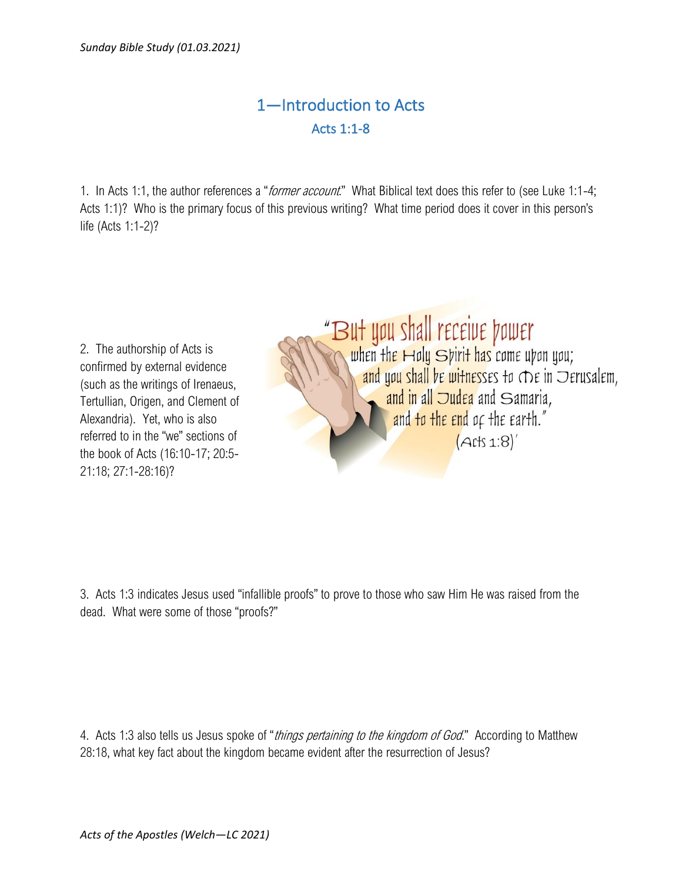## 1—Introduction to Acts Acts 1:1-8

1. In Acts 1:1, the author references a "*former account*." What Biblical text does this refer to (see Luke 1:1-4; Acts 1:1)? Who is the primary focus of this previous writing? What time period does it cover in this person's life (Acts 1:1-2)?

2. The authorship of Acts is confirmed by external evidence (such as the writings of Irenaeus, Tertullian, Origen, and Clement of Alexandria). Yet, who is also referred to in the "we" sections of the book of Acts (16:10-17; 20:5- 21:18; 27:1-28:16)?

## "But you shall receive power<br>The when the Holy Spirit has come upon you; and you shall be witnesses to The in Derusalem, and in all Judea and Samaria, and to the end of the earth."  $(Aits 1:8)'$

3. Acts 1:3 indicates Jesus used "infallible proofs" to prove to those who saw Him He was raised from the dead. What were some of those "proofs?"

4. Acts 1:3 also tells us Jesus spoke of "*things pertaining to the kingdom of God*." According to Matthew 28:18, what key fact about the kingdom became evident after the resurrection of Jesus?